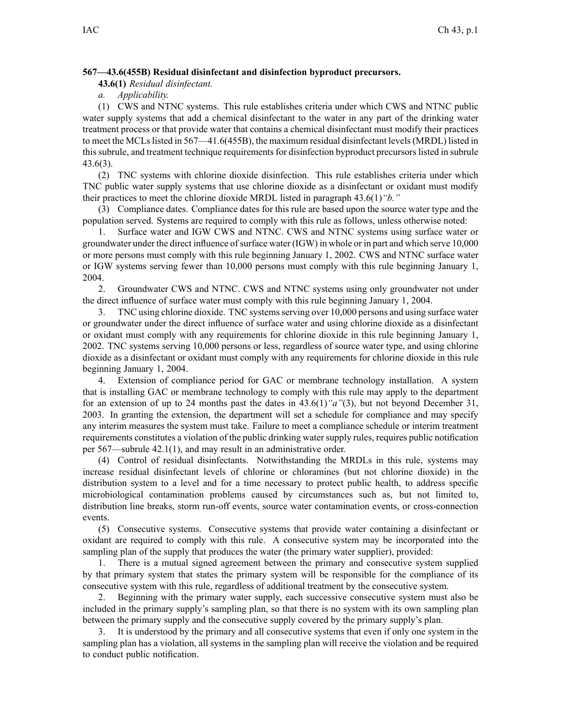## **567—43.6(455B) Residual disinfectant and disinfection byproduct precursors.**

**43.6(1)** *Residual disinfectant.*

*a. Applicability.*

(1) CWS and NTNC systems. This rule establishes criteria under which CWS and NTNC public water supply systems that add <sup>a</sup> chemical disinfectant to the water in any par<sup>t</sup> of the drinking water treatment process or that provide water that contains <sup>a</sup> chemical disinfectant must modify their practices to meet the MCLs listed in 567—41.6(455B), the maximum residual disinfectant levels (MRDL) listed in this subrule, and treatment technique requirements for disinfection byproduct precursors listed in subrule 43.6(3).

(2) TNC systems with chlorine dioxide disinfection. This rule establishes criteria under which TNC public water supply systems that use chlorine dioxide as <sup>a</sup> disinfectant or oxidant must modify their practices to meet the chlorine dioxide MRDL listed in paragraph 43.6(1)*"b."*

(3) Compliance dates. Compliance dates for this rule are based upon the source water type and the population served. Systems are required to comply with this rule as follows, unless otherwise noted:

1. Surface water and IGW CWS and NTNC. CWS and NTNC systems using surface water or groundwater under the direct influence ofsurface water (IGW) in whole or in par<sup>t</sup> and which serve 10,000 or more persons must comply with this rule beginning January 1, 2002. CWS and NTNC surface water or IGW systems serving fewer than 10,000 persons must comply with this rule beginning January 1, 2004.

2. Groundwater CWS and NTNC. CWS and NTNC systems using only groundwater not under the direct influence of surface water must comply with this rule beginning January 1, 2004.

3. TNC using chlorine dioxide. TNC systems serving over 10,000 persons and using surface water or groundwater under the direct influence of surface water and using chlorine dioxide as <sup>a</sup> disinfectant or oxidant must comply with any requirements for chlorine dioxide in this rule beginning January 1, 2002. TNC systems serving 10,000 persons or less, regardless of source water type, and using chlorine dioxide as <sup>a</sup> disinfectant or oxidant must comply with any requirements for chlorine dioxide in this rule beginning January 1, 2004.

4. Extension of compliance period for GAC or membrane technology installation. A system that is installing GAC or membrane technology to comply with this rule may apply to the department for an extension of up to 24 months pas<sup>t</sup> the dates in 43.6(1)*"a"*(3), but not beyond December 31, 2003. In granting the extension, the department will set <sup>a</sup> schedule for compliance and may specify any interim measures the system must take. Failure to meet <sup>a</sup> compliance schedule or interim treatment requirements constitutes <sup>a</sup> violation of the public drinking watersupply rules, requires public notification per 567—subrule 42.1(1), and may result in an administrative order.

(4) Control of residual disinfectants. Notwithstanding the MRDLs in this rule, systems may increase residual disinfectant levels of chlorine or chloramines (but not chlorine dioxide) in the distribution system to <sup>a</sup> level and for <sup>a</sup> time necessary to protect public health, to address specific microbiological contamination problems caused by circumstances such as, but not limited to, distribution line breaks, storm run-off events, source water contamination events, or cross-connection events.

(5) Consecutive systems. Consecutive systems that provide water containing <sup>a</sup> disinfectant or oxidant are required to comply with this rule. A consecutive system may be incorporated into the sampling plan of the supply that produces the water (the primary water supplier), provided:

1. There is <sup>a</sup> mutual signed agreemen<sup>t</sup> between the primary and consecutive system supplied by that primary system that states the primary system will be responsible for the compliance of its consecutive system with this rule, regardless of additional treatment by the consecutive system.

2. Beginning with the primary water supply, each successive consecutive system must also be included in the primary supply's sampling plan, so that there is no system with its own sampling plan between the primary supply and the consecutive supply covered by the primary supply's plan.

3. It is understood by the primary and all consecutive systems that even if only one system in the sampling plan has <sup>a</sup> violation, all systems in the sampling plan will receive the violation and be required to conduct public notification.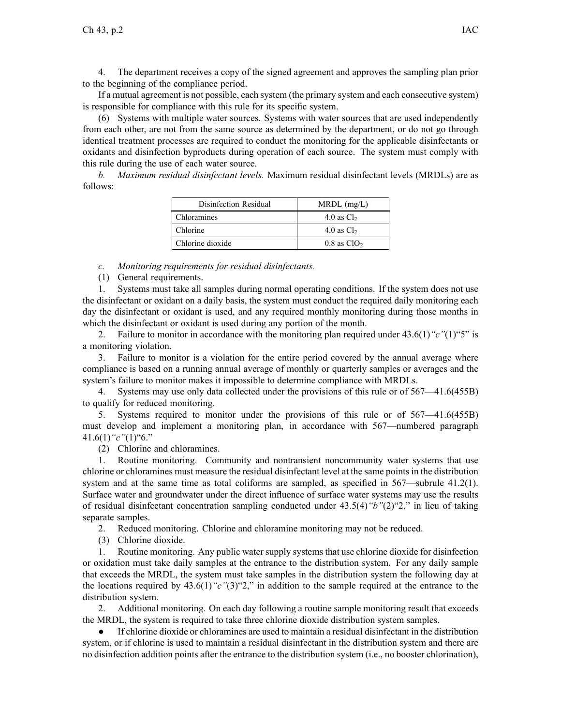The department receives a copy of the signed agreement and approves the sampling plan prior to the beginning of the compliance period.

If <sup>a</sup> mutual agreemen<sup>t</sup> is not possible, each system (the primary system and each consecutive system) is responsible for compliance with this rule for its specific system.

(6) Systems with multiple water sources. Systems with water sources that are used independently from each other, are not from the same source as determined by the department, or do not go through identical treatment processes are required to conduct the monitoring for the applicable disinfectants or oxidants and disinfection byproducts during operation of each source. The system must comply with this rule during the use of each water source.

*b. Maximum residual disinfectant levels.* Maximum residual disinfectant levels (MRDLs) are as follows:

| Disinfection Residual | $MRDL$ (mg/L)             |
|-----------------------|---------------------------|
| Chloramines           | 4.0 as $Cl2$              |
| Chlorine              | 4.0 as $Cl2$              |
| Chlorine dioxide      | $0.8$ as ClO <sub>2</sub> |

*c. Monitoring requirements for residual disinfectants.*

(1) General requirements.

1. Systems must take all samples during normal operating conditions. If the system does not use the disinfectant or oxidant on <sup>a</sup> daily basis, the system must conduct the required daily monitoring each day the disinfectant or oxidant is used, and any required monthly monitoring during those months in which the disinfectant or oxidant is used during any portion of the month.

2. Failure to monitor in accordance with the monitoring plan required under  $43.6(1)$  "c" $(1)$ "5" is <sup>a</sup> monitoring violation.

3. Failure to monitor is <sup>a</sup> violation for the entire period covered by the annual average where compliance is based on <sup>a</sup> running annual average of monthly or quarterly samples or averages and the system's failure to monitor makes it impossible to determine compliance with MRDLs.

4. Systems may use only data collected under the provisions of this rule or of 567—41.6(455B) to qualify for reduced monitoring.

5. Systems required to monitor under the provisions of this rule or of 567—41.6(455B) must develop and implement <sup>a</sup> monitoring plan, in accordance with 567—numbered paragraph 41.6(1)*"c"*(1)"6."

(2) Chlorine and chloramines.

1. Routine monitoring. Community and nontransient noncommunity water systems that use chlorine or chloramines must measure the residual disinfectant level at the same points in the distribution system and at the same time as total coliforms are sampled, as specified in 567—subrule 41.2(1). Surface water and groundwater under the direct influence of surface water systems may use the results of residual disinfectant concentration sampling conducted under 43.5(4)*"b"*(2)"2," in lieu of taking separate samples.

2. Reduced monitoring. Chlorine and chloramine monitoring may not be reduced.

(3) Chlorine dioxide.

1. Routine monitoring. Any public water supply systems that use chlorine dioxide for disinfection or oxidation must take daily samples at the entrance to the distribution system. For any daily sample that exceeds the MRDL, the system must take samples in the distribution system the following day at the locations required by 43.6(1)*"c"*(3)"2," in addition to the sample required at the entrance to the distribution system.

2. Additional monitoring. On each day following <sup>a</sup> routine sample monitoring result that exceeds the MRDL, the system is required to take three chlorine dioxide distribution system samples.

● If chlorine dioxide or chloramines are used to maintain <sup>a</sup> residual disinfectant in the distribution system, or if chlorine is used to maintain <sup>a</sup> residual disinfectant in the distribution system and there are no disinfection addition points after the entrance to the distribution system (i.e., no booster chlorination),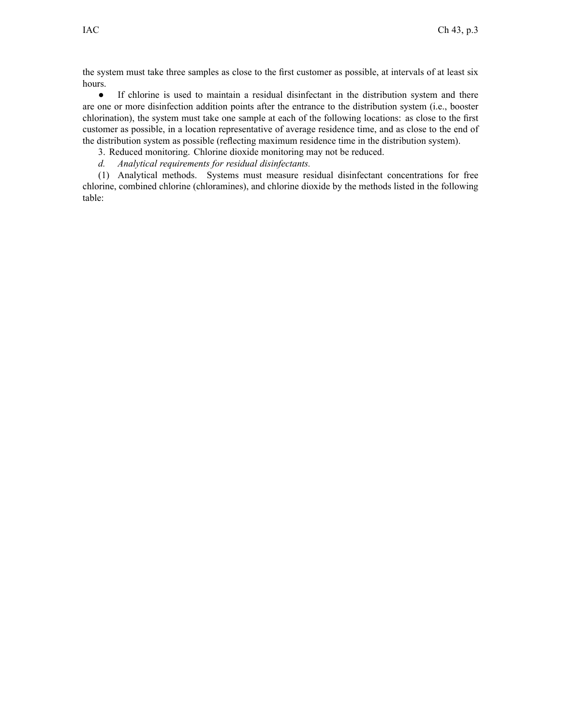the system must take three samples as close to the first customer as possible, at intervals of at least six hours.

 $\bullet$  If chlorine is used to maintain <sup>a</sup> residual disinfectant in the distribution system and there are one or more disinfection addition points after the entrance to the distribution system (i.e., booster chlorination), the system must take one sample at each of the following locations: as close to the first customer as possible, in <sup>a</sup> location representative of average residence time, and as close to the end of the distribution system as possible (reflecting maximum residence time in the distribution system).

3. Reduced monitoring. Chlorine dioxide monitoring may not be reduced.

*d. Analytical requirements for residual disinfectants.*

(1) Analytical methods. Systems must measure residual disinfectant concentrations for free chlorine, combined chlorine (chloramines), and chlorine dioxide by the methods listed in the following table: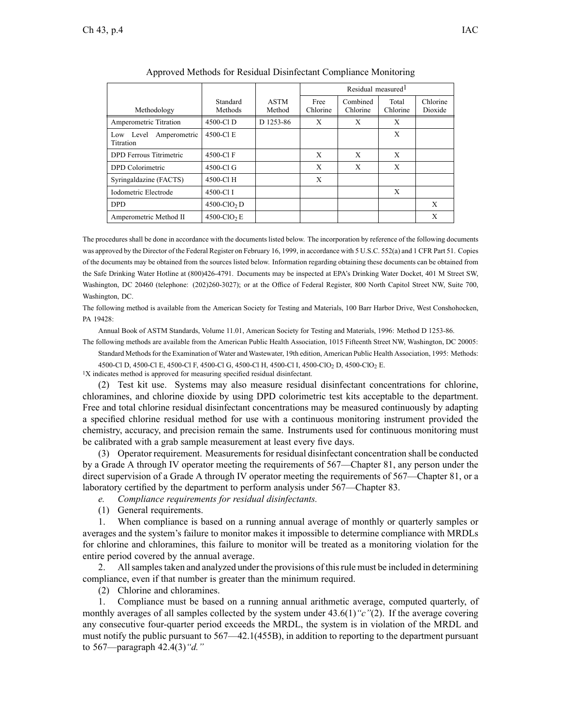|                                        |                            |                       | Residual measured <sup>1</sup> |                      |                   |                     |
|----------------------------------------|----------------------------|-----------------------|--------------------------------|----------------------|-------------------|---------------------|
| Methodology                            | Standard<br>Methods        | <b>ASTM</b><br>Method | Free<br>Chlorine               | Combined<br>Chlorine | Total<br>Chlorine | Chlorine<br>Dioxide |
| Amperometric Titration                 | 4500-CLD                   | D 1253-86             | X                              | X                    | X                 |                     |
| Amperometric<br>Low Level<br>Titration | 4500-Cl E                  |                       |                                |                      | X                 |                     |
| <b>DPD</b> Ferrous Titrimetric         | 4500-Cl F                  |                       | X                              | X                    | X                 |                     |
| <b>DPD</b> Colorimetric                | 4500-Cl G                  |                       | X                              | X                    | X                 |                     |
| Syringaldazine (FACTS)                 | 4500-Cl H                  |                       | X                              |                      |                   |                     |
| Iodometric Electrode                   | 4500-Cl I                  |                       |                                |                      | X                 |                     |
| <b>DPD</b>                             | $4500$ -ClO <sub>2</sub> D |                       |                                |                      |                   | X                   |
| Amperometric Method II                 | $4500$ -ClO <sub>2</sub> E |                       |                                |                      |                   | X                   |

| Approved Methods for Residual Disinfectant Compliance Monitoring |  |  |
|------------------------------------------------------------------|--|--|
|                                                                  |  |  |

The procedures shall be done in accordance with the documents listed below. The incorporation by reference of the following documents was approved by the Director of the Federal Register on February 16, 1999, in accordance with 5 U.S.C. 552(a) and 1 CFR Part 51. Copies of the documents may be obtained from the sources listed below. Information regarding obtaining these documents can be obtained from the Safe Drinking Water Hotline at (800)426-4791. Documents may be inspected at EPA's Drinking Water Docket, 401 M Street SW, Washington, DC 20460 (telephone: (202)260-3027); or at the Office of Federal Register, 800 North Capitol Street NW, Suite 700, Washington, DC.

The following method is available from the American Society for Testing and Materials, 100 Barr Harbor Drive, West Conshohocken, PA 19428:

Annual Book of ASTM Standards, Volume 11.01, American Society for Testing and Materials, 1996: Method D 1253-86.

The following methods are available from the American Public Health Association, 1015 Fifteenth Street NW, Washington, DC 20005: Standard Methods for the Examination of Water and Wastewater, 19th edition, American Public Health Association, 1995: Methods:

4500-Cl D, 4500-Cl E, 4500-Cl F, 4500-Cl G, 4500-Cl H, 4500-Cl I, 4500-ClO<sub>2</sub> D, 4500-ClO<sub>2</sub> E.

<sup>1</sup>X indicates method is approved for measuring specified residual disinfectant.

(2) Test kit use. Systems may also measure residual disinfectant concentrations for chlorine, chloramines, and chlorine dioxide by using DPD colorimetric test kits acceptable to the department. Free and total chlorine residual disinfectant concentrations may be measured continuously by adapting <sup>a</sup> specified chlorine residual method for use with <sup>a</sup> continuous monitoring instrument provided the chemistry, accuracy, and precision remain the same. Instruments used for continuous monitoring must be calibrated with <sup>a</sup> grab sample measurement at least every five days.

(3) Operator requirement. Measurementsfor residual disinfectant concentration shall be conducted by <sup>a</sup> Grade A through IV operator meeting the requirements of 567—Chapter 81, any person under the direct supervision of <sup>a</sup> Grade A through IV operator meeting the requirements of 567—Chapter 81, or <sup>a</sup> laboratory certified by the department to perform analysis under 567—Chapter 83.

*e. Compliance requirements for residual disinfectants.*

(1) General requirements.

1. When compliance is based on <sup>a</sup> running annual average of monthly or quarterly samples or averages and the system's failure to monitor makes it impossible to determine compliance with MRDLs for chlorine and chloramines, this failure to monitor will be treated as <sup>a</sup> monitoring violation for the entire period covered by the annual average.

2. Allsamplestaken and analyzed under the provisions of thisrule must be included in determining compliance, even if that number is greater than the minimum required.

(2) Chlorine and chloramines.

1. Compliance must be based on <sup>a</sup> running annual arithmetic average, computed quarterly, of monthly averages of all samples collected by the system under 43.6(1)*"c"*(2). If the average covering any consecutive four-quarter period exceeds the MRDL, the system is in violation of the MRDL and must notify the public pursuan<sup>t</sup> to 567—42.1(455B), in addition to reporting to the department pursuan<sup>t</sup> to 567—paragraph 42.4(3)*"d."*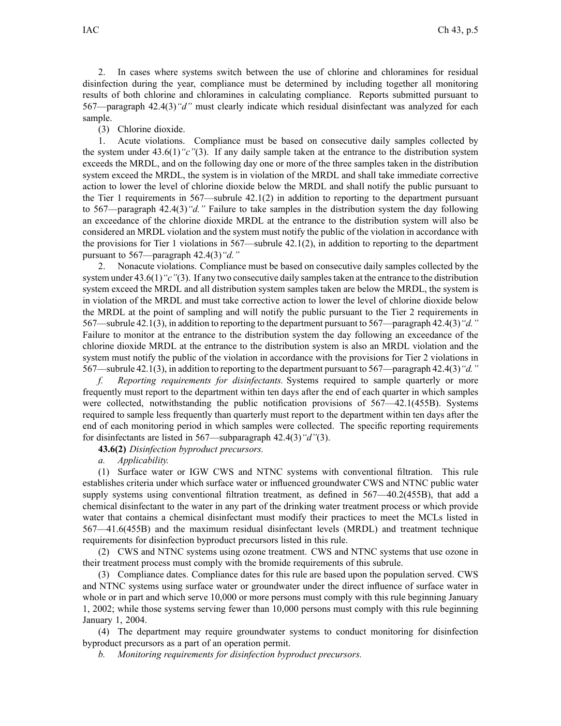2. In cases where systems switch between the use of chlorine and chloramines for residual disinfection during the year, compliance must be determined by including together all monitoring results of both chlorine and chloramines in calculating compliance. Reports submitted pursuan<sup>t</sup> to 567—paragraph 42.4(3)*"d"* must clearly indicate which residual disinfectant was analyzed for each sample.

## (3) Chlorine dioxide.

1. Acute violations. Compliance must be based on consecutive daily samples collected by the system under 43.6(1)*"c"*(3). If any daily sample taken at the entrance to the distribution system exceeds the MRDL, and on the following day one or more of the three samples taken in the distribution system exceed the MRDL, the system is in violation of the MRDL and shall take immediate corrective action to lower the level of chlorine dioxide below the MRDL and shall notify the public pursuan<sup>t</sup> to the Tier 1 requirements in  $567$ —subrule  $42.1(2)$  in addition to reporting to the department pursuant to 567—paragraph 42.4(3)*"d."* Failure to take samples in the distribution system the day following an exceedance of the chlorine dioxide MRDL at the entrance to the distribution system will also be considered an MRDL violation and the system must notify the public of the violation in accordance with the provisions for Tier 1 violations in 567—subrule 42.1(2), in addition to reporting to the department pursuan<sup>t</sup> to 567—paragraph 42.4(3)*"d."*

2. Nonacute violations. Compliance must be based on consecutive daily samples collected by the system under 43.6(1)*"c"*(3). If any two consecutive daily samplestaken at the entrance to the distribution system exceed the MRDL and all distribution system samples taken are below the MRDL, the system is in violation of the MRDL and must take corrective action to lower the level of chlorine dioxide below the MRDL at the point of sampling and will notify the public pursuan<sup>t</sup> to the Tier 2 requirements in 567—subrule 42.1(3), in addition to reporting to the department pursuan<sup>t</sup> to 567—paragraph 42.4(3)*"d."* Failure to monitor at the entrance to the distribution system the day following an exceedance of the chlorine dioxide MRDL at the entrance to the distribution system is also an MRDL violation and the system must notify the public of the violation in accordance with the provisions for Tier 2 violations in 567—subrule 42.1(3), in addition to reporting to the department pursuan<sup>t</sup> to 567—paragraph 42.4(3)*"d."*

*f. Reporting requirements for disinfectants.* Systems required to sample quarterly or more frequently must repor<sup>t</sup> to the department within ten days after the end of each quarter in which samples were collected, notwithstanding the public notification provisions of 567—42.1(455B). Systems required to sample less frequently than quarterly must repor<sup>t</sup> to the department within ten days after the end of each monitoring period in which samples were collected. The specific reporting requirements for disinfectants are listed in 567—subparagraph 42.4(3)*"d"*(3).

**43.6(2)** *Disinfection byproduct precursors.*

*a. Applicability.*

(1) Surface water or IGW CWS and NTNC systems with conventional filtration. This rule establishes criteria under which surface water or influenced groundwater CWS and NTNC public water supply systems using conventional filtration treatment, as defined in 567—40.2(455B), that add <sup>a</sup> chemical disinfectant to the water in any par<sup>t</sup> of the drinking water treatment process or which provide water that contains <sup>a</sup> chemical disinfectant must modify their practices to meet the MCLs listed in 567—41.6(455B) and the maximum residual disinfectant levels (MRDL) and treatment technique requirements for disinfection byproduct precursors listed in this rule.

(2) CWS and NTNC systems using ozone treatment. CWS and NTNC systems that use ozone in their treatment process must comply with the bromide requirements of this subrule.

(3) Compliance dates. Compliance dates for this rule are based upon the population served. CWS and NTNC systems using surface water or groundwater under the direct influence of surface water in whole or in part and which serve 10,000 or more persons must comply with this rule beginning January 1, 2002; while those systems serving fewer than 10,000 persons must comply with this rule beginning January 1, 2004.

(4) The department may require groundwater systems to conduct monitoring for disinfection byproduct precursors as <sup>a</sup> par<sup>t</sup> of an operation permit.

*b. Monitoring requirements for disinfection byproduct precursors.*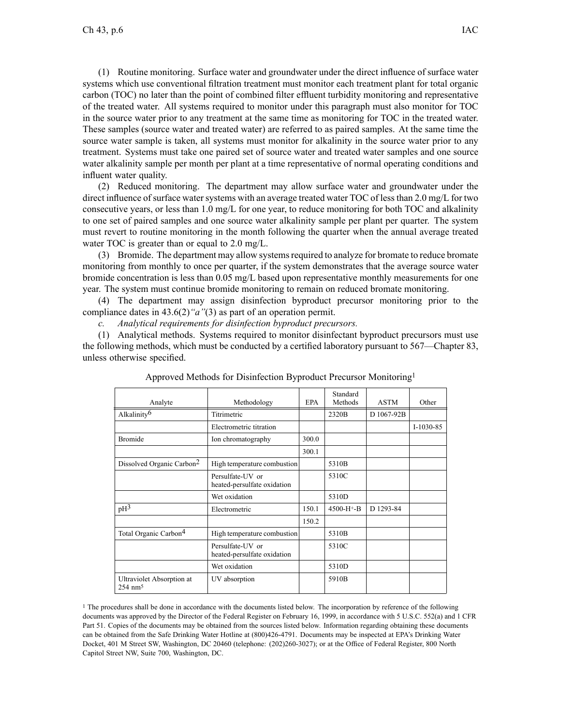(1) Routine monitoring. Surface water and groundwater under the direct influence of surface water systems which use conventional filtration treatment must monitor each treatment plant for total organic carbon (TOC) no later than the point of combined filter effluent turbidity monitoring and representative of the treated water. All systems required to monitor under this paragraph must also monitor for TOC in the source water prior to any treatment at the same time as monitoring for TOC in the treated water. These samples (source water and treated water) are referred to as paired samples. At the same time the source water sample is taken, all systems must monitor for alkalinity in the source water prior to any treatment. Systems must take one paired set of source water and treated water samples and one source water alkalinity sample per month per plant at <sup>a</sup> time representative of normal operating conditions and influent water quality.

(2) Reduced monitoring. The department may allow surface water and groundwater under the direct influence of surface water systems with an average treated water TOC of less than  $2.0$  mg/L for two consecutive years, or less than 1.0 mg/L for one year, to reduce monitoring for both TOC and alkalinity to one set of paired samples and one source water alkalinity sample per plant per quarter. The system must revert to routine monitoring in the month following the quarter when the annual average treated water TOC is greater than or equal to 2.0 mg/L.

(3) Bromide. The department may allow systems required to analyze for bromate to reduce bromate monitoring from monthly to once per quarter, if the system demonstrates that the average source water bromide concentration is less than 0.05 mg/L based upon representative monthly measurements for one year. The system must continue bromide monitoring to remain on reduced bromate monitoring.

(4) The department may assign disinfection byproduct precursor monitoring prior to the compliance dates in 43.6(2)*"a"*(3) as par<sup>t</sup> of an operation permit.

*c. Analytical requirements for disinfection byproduct precursors.*

(1) Analytical methods. Systems required to monitor disinfectant byproduct precursors must use the following methods, which must be conducted by <sup>a</sup> certified laboratory pursuan<sup>t</sup> to 567—Chapter 83, unless otherwise specified.

|                                                 |                                                 |            | Standard     |             |             |
|-------------------------------------------------|-------------------------------------------------|------------|--------------|-------------|-------------|
| Analyte                                         | Methodology                                     | <b>EPA</b> | Methods      | <b>ASTM</b> | Other       |
| Alkalinity <sup>6</sup>                         | Titrimetric                                     |            | 2320B        | D 1067-92B  |             |
|                                                 | Electrometric titration                         |            |              |             | $I-1030-85$ |
| <b>Bromide</b>                                  | Ion chromatography                              | 300.0      |              |             |             |
|                                                 |                                                 | 300.1      |              |             |             |
| Dissolved Organic Carbon <sup>2</sup>           | High temperature combustion                     |            | 5310B        |             |             |
|                                                 | Persulfate-UV or<br>heated-persulfate oxidation |            | 5310C        |             |             |
|                                                 | Wet oxidation                                   |            | 5310D        |             |             |
| pH <sup>3</sup>                                 | Electrometric                                   | 150.1      | $4500-H+$ -B | D 1293-84   |             |
|                                                 |                                                 | 150.2      |              |             |             |
| Total Organic Carbon <sup>4</sup>               | High temperature combustion                     |            | 5310B        |             |             |
|                                                 | Persulfate-UV or<br>heated-persulfate oxidation |            | 5310C        |             |             |
|                                                 | Wet oxidation                                   |            | 5310D        |             |             |
| Ultraviolet Absorption at<br>$254 \text{ nm}^5$ | UV absorption                                   |            | 5910B        |             |             |

Approved Methods for Disinfection Byproduct Precursor Monitoring<sup>1</sup>

<sup>1</sup> The procedures shall be done in accordance with the documents listed below. The incorporation by reference of the following documents was approved by the Director of the Federal Register on February 16, 1999, in accordance with 5 U.S.C. 552(a) and 1 CFR Part 51. Copies of the documents may be obtained from the sources listed below. Information regarding obtaining these documents can be obtained from the Safe Drinking Water Hotline at (800)426-4791. Documents may be inspected at EPA's Drinking Water Docket, 401 M Street SW, Washington, DC 20460 (telephone: (202)260-3027); or at the Office of Federal Register, 800 North Capitol Street NW, Suite 700, Washington, DC.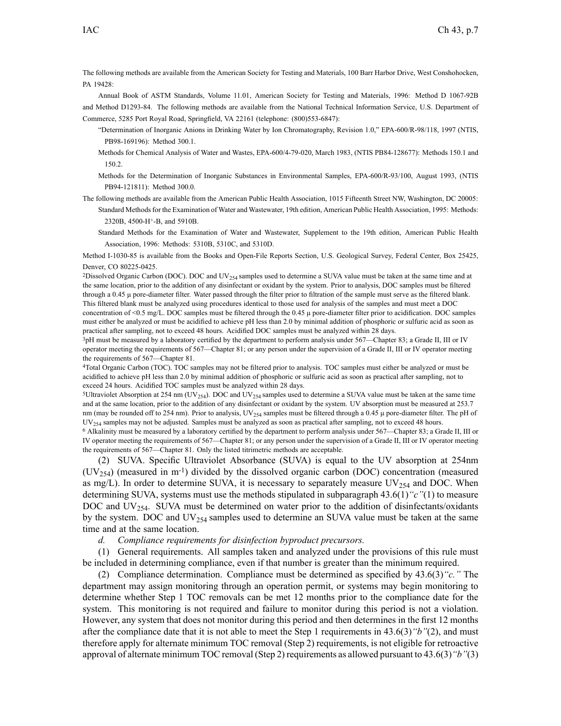The following methods are available from the American Society for Testing and Materials, 100 Barr Harbor Drive, West Conshohocken, PA 19428:

Annual Book of ASTM Standards, Volume 11.01, American Society for Testing and Materials, 1996: Method D 1067-92B and Method D1293-84. The following methods are available from the National Technical Information Service, U.S. Department of Commerce, 5285 Port Royal Road, Springfield, VA 22161 (telephone: (800)553-6847):

- "Determination of Inorganic Anions in Drinking Water by Ion Chromatography, Revision 1.0," EPA-600/R-98/118, 1997 (NTIS, PB98-169196): Method 300.1.
- Methods for Chemical Analysis of Water and Wastes, EPA-600/4-79-020, March 1983, (NTIS PB84-128677): Methods 150.1 and 150.2.
- Methods for the Determination of Inorganic Substances in Environmental Samples, EPA-600/R-93/100, August 1993, (NTIS PB94-121811): Method 300.0.
- The following methods are available from the American Public Health Association, 1015 Fifteenth Street NW, Washington, DC 20005:
	- Standard Methods for the Examination of Water and Wastewater, 19th edition, American Public Health Association, 1995: Methods: 2320B, 4500-H<sup>+</sup> -B, and 5910B.
	- Standard Methods for the Examination of Water and Wastewater, Supplement to the 19th edition, American Public Health Association, 1996: Methods: 5310B, 5310C, and 5310D.

Method I-1030-85 is available from the Books and Open-File Reports Section, U.S. Geological Survey, Federal Center, Box 25425, Denver, CO 80225-0425.

<sup>2</sup>Dissolved Organic Carbon (DOC). DOC and UV<sub>254</sub> samples used to determine a SUVA value must be taken at the same time and at the same location, prior to the addition of any disinfectant or oxidant by the system. Prior to analysis, DOC samples must be filtered through <sup>a</sup> 0.45 μ pore-diameter filter. Water passed through the filter prior to filtration of the sample must serve as the filtered blank. This filtered blank must be analyzed using procedures identical to those used for analysis of the samples and must meet <sup>a</sup> DOC concentration of <0.5 mg/L. DOC samples must be filtered through the 0.45 μ pore-diameter filter prior to acidification. DOC samples must either be analyzed or must be acidified to achieve pH less than 2.0 by minimal addition of phosphoric or sulfuric acid as soon as practical after sampling, not to exceed 48 hours. Acidified DOC samples must be analyzed within 28 days.

<sup>3</sup>pH must be measured by <sup>a</sup> laboratory certified by the department to perform analysis under 567—Chapter 83; <sup>a</sup> Grade II, III or IV operator meeting the requirements of 567—Chapter 81; or any person under the supervision of <sup>a</sup> Grade II, III or IV operator meeting the requirements of 567—Chapter 81.

<sup>4</sup>Total Organic Carbon (TOC). TOC samples may not be filtered prior to analysis. TOC samples must either be analyzed or must be acidified to achieve pH less than 2.0 by minimal addition of phosphoric or sulfuric acid as soon as practical after sampling, not to exceed 24 hours. Acidified TOC samples must be analyzed within 28 days.

<sup>5</sup>Ultraviolet Absorption at 254 nm (UV<sub>254</sub>). DOC and UV<sub>254</sub> samples used to determine a SUVA value must be taken at the same time and at the same location, prior to the addition of any disinfectant or oxidant by the system. UV absorption must be measured at 253.7 nm (may be rounded off to 254 nm). Prior to analysis, UV<sub>254</sub> samples must be filtered through a 0.45 μ pore-diameter filter. The pH of UV<sup>254</sup> samples may not be adjusted. Samples must be analyzed as soon as practical after sampling, not to exceed 48 hours.

<sup>6</sup> Alkalinity must be measured by <sup>a</sup> laboratory certified by the department to perform analysis under 567—Chapter 83; <sup>a</sup> Grade II, III or IV operator meeting the requirements of 567—Chapter 81; or any person under the supervision of <sup>a</sup> Grade II, III or IV operator meeting the requirements of 567—Chapter 81. Only the listed titrimetric methods are acceptable.

(2) SUVA. Specific Ultraviolet Absorbance (SUVA) is equal to the UV absorption at 254nm  $(UV<sub>254</sub>)$  (measured in m<sup>-1</sup>) divided by the dissolved organic carbon (DOC) concentration (measured as mg/L). In order to determine SUVA, it is necessary to separately measure  $UV_{254}$  and DOC. When determining SUVA, systems must use the methods stipulated in subparagraph 43.6(1)*"c"*(1) to measure DOC and UV<sub>254</sub>. SUVA must be determined on water prior to the addition of disinfectants/oxidants by the system. DOC and  $UV_{254}$  samples used to determine an SUVA value must be taken at the same time and at the same location.

*d. Compliance requirements for disinfection byproduct precursors.*

(1) General requirements. All samples taken and analyzed under the provisions of this rule must be included in determining compliance, even if that number is greater than the minimum required.

(2) Compliance determination. Compliance must be determined as specified by 43.6(3)*"c."* The department may assign monitoring through an operation permit, or systems may begin monitoring to determine whether Step 1 TOC removals can be met 12 months prior to the compliance date for the system. This monitoring is not required and failure to monitor during this period is not <sup>a</sup> violation. However, any system that does not monitor during this period and then determines in the first 12 months after the compliance date that it is not able to meet the Step 1 requirements in 43.6(3)*"b"*(2), and must therefore apply for alternate minimum TOC removal (Step 2) requirements, is not eligible for retroactive approval of alternate minimum TOC removal (Step 2) requirements as allowed pursuan<sup>t</sup> to 43.6(3)*"b"*(3)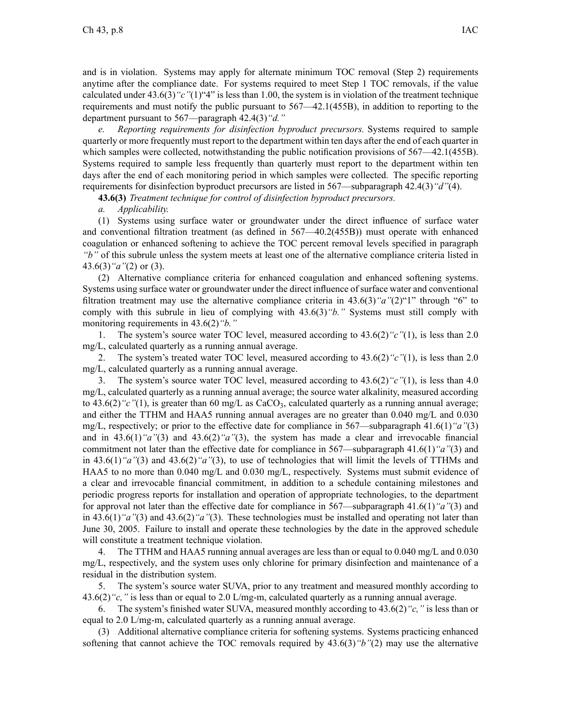and is in violation. Systems may apply for alternate minimum TOC removal (Step 2) requirements anytime after the compliance date. For systems required to meet Step 1 TOC removals, if the value calculated under 43.6(3)*"c"*(1)"4" is less than 1.00, the system is in violation of the treatment technique requirements and must notify the public pursuan<sup>t</sup> to 567—42.1(455B), in addition to reporting to the department pursuan<sup>t</sup> to 567—paragraph 42.4(3)*"d."*

*e. Reporting requirements for disinfection byproduct precursors.* Systems required to sample quarterly or more frequently must repor<sup>t</sup> to the department within ten days after the end of each quarter in which samples were collected, notwithstanding the public notification provisions of  $567-42.1(455B)$ . Systems required to sample less frequently than quarterly must repor<sup>t</sup> to the department within ten days after the end of each monitoring period in which samples were collected. The specific reporting requirements for disinfection byproduct precursors are listed in 567—subparagraph 42.4(3)*"d"*(4).

**43.6(3)** *Treatment technique for control of disinfection byproduct precursors.*

## *a. Applicability.*

(1) Systems using surface water or groundwater under the direct influence of surface water and conventional filtration treatment (as defined in 567—40.2(455B)) must operate with enhanced coagulation or enhanced softening to achieve the TOC percen<sup>t</sup> removal levels specified in paragraph *"b"* of this subrule unless the system meets at least one of the alternative compliance criteria listed in 43.6(3)*"a"*(2) or (3).

(2) Alternative compliance criteria for enhanced coagulation and enhanced softening systems. Systems using surface water or groundwater under the direct influence of surface water and conventional filtration treatment may use the alternative compliance criteria in 43.6(3)*"a"*(2)"1" through "6" to comply with this subrule in lieu of complying with 43.6(3)*"b."* Systems must still comply with monitoring requirements in 43.6(2)*"b."*

1. The system's source water TOC level, measured according to 43.6(2)*"c"*(1), is less than 2.0 mg/L, calculated quarterly as <sup>a</sup> running annual average.

2. The system's treated water TOC level, measured according to 43.6(2)*"c"*(1), is less than 2.0 mg/L, calculated quarterly as <sup>a</sup> running annual average.

3. The system's source water TOC level, measured according to 43.6(2)*"c"*(1), is less than 4.0 mg/L, calculated quarterly as <sup>a</sup> running annual average; the source water alkalinity, measured according to 43.6(2)<sup>"</sup>c"(1), is greater than 60 mg/L as CaCO<sub>3</sub>, calculated quarterly as a running annual average; and either the TTHM and HAA5 running annual averages are no greater than 0.040 mg/L and 0.030 mg/L, respectively; or prior to the effective date for compliance in 567—subparagraph 41.6(1)*"a"*(3) and in 43.6(1)*"a"*(3) and 43.6(2)*"a"*(3), the system has made <sup>a</sup> clear and irrevocable financial commitment not later than the effective date for compliance in 567—subparagraph 41.6(1)*"a"*(3) and in 43.6(1)*"a"*(3) and 43.6(2)*"a"*(3), to use of technologies that will limit the levels of TTHMs and HAA5 to no more than 0.040 mg/L and 0.030 mg/L, respectively. Systems must submit evidence of <sup>a</sup> clear and irrevocable financial commitment, in addition to <sup>a</sup> schedule containing milestones and periodic progress reports for installation and operation of appropriate technologies, to the department for approval not later than the effective date for compliance in 567—subparagraph 41.6(1)*"a"*(3) and in 43.6(1)*"a"*(3) and 43.6(2)*"a"*(3). These technologies must be installed and operating not later than June 30, 2005. Failure to install and operate these technologies by the date in the approved schedule will constitute <sup>a</sup> treatment technique violation.

4. The TTHM and HAA5 running annual averages are less than or equal to 0.040 mg/L and 0.030 mg/L, respectively, and the system uses only chlorine for primary disinfection and maintenance of <sup>a</sup> residual in the distribution system.

5. The system's source water SUVA, prior to any treatment and measured monthly according to 43.6(2)*"c,"* is less than or equal to 2.0 L/mg-m, calculated quarterly as <sup>a</sup> running annual average.

6. The system's finished water SUVA, measured monthly according to 43.6(2)*"c,"* is less than or equal to 2.0 L/mg-m, calculated quarterly as <sup>a</sup> running annual average.

(3) Additional alternative compliance criteria for softening systems. Systems practicing enhanced softening that cannot achieve the TOC removals required by 43.6(3)*"b"*(2) may use the alternative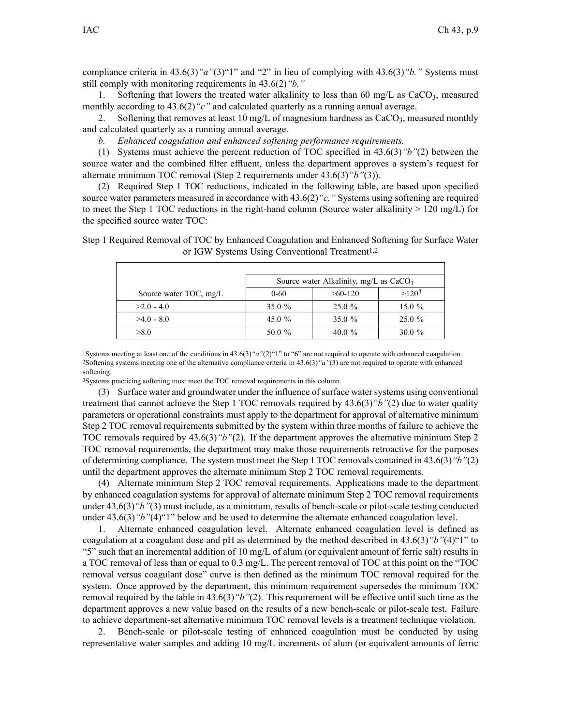compliance criteria in 43.6(3)*"a"*(3)"1" and "2" in lieu of complying with 43.6(3)*"b."* Systems must still comply with monitoring requirements in 43.6(2)*"b."*

1. Softening that lowers the treated water alkalinity to less than 60 mg/L as  $CaCO<sub>3</sub>$ , measured monthly according to 43.6(2)<sup>"</sup>c" and calculated quarterly as a running annual average.

2. Softening that removes at least 10 mg/L of magnesium hardness as  $CaCO<sub>3</sub>$ , measured monthly and calculated quarterly as <sup>a</sup> running annual average.

*b. Enhanced coagulation and enhanced softening performance requirements.*

(1) Systems must achieve the percen<sup>t</sup> reduction of TOC specified in 43.6(3)*"b"*(2) between the source water and the combined filter effluent, unless the department approves <sup>a</sup> system's reques<sup>t</sup> for alternate minimum TOC removal (Step 2 requirements under 43.6(3)*"b"*(3)).

(2) Required Step 1 TOC reductions, indicated in the following table, are based upon specified source water parameters measured in accordance with 43.6(2)*"c."* Systems using softening are required to meet the Step 1 TOC reductions in the right-hand column (Source water alkalinity  $> 120 \text{ mg/L}$ ) for the specified source water TOC:

Step 1 Required Removal of TOC by Enhanced Coagulation and Enhanced Softening for Surface Water or IGW Systems Using Conventional Treatment<sup>1,2</sup>

|                        | Source water Alkalinity, mg/L as $CaCO3$ |           |          |  |
|------------------------|------------------------------------------|-----------|----------|--|
| Source water TOC, mg/L | $0 - 60$                                 | $>60-120$ | $>120^3$ |  |
| $>2.0 - 4.0$           | 35.0 $%$                                 | $25.0 \%$ | 15.0 $%$ |  |
| $>4.0 - 8.0$           | 45.0 $%$                                 | 35.0 $%$  | 25.0%    |  |
| >8.0                   | 50.0 %                                   | 40.0 $%$  | 30.0 $%$ |  |

<sup>1</sup>Systems meeting at least one of the conditions in 43.6(3)*"a"*(2)"1" to "6" are not required to operate with enhanced coagulation. <sup>2</sup>Softening systems meeting one of the alternative compliance criteria in 43.6(3)*"a"*(3) are not required to operate with enhanced softening.

<sup>3</sup>Systems practicing softening must meet the TOC removal requirements in this column.

(3) Surface water and groundwater under the influence ofsurface watersystems using conventional treatment that cannot achieve the Step 1 TOC removals required by 43.6(3)*"b"*(2) due to water quality parameters or operational constraints must apply to the department for approval of alternative minimum Step 2 TOC removal requirements submitted by the system within three months of failure to achieve the TOC removals required by 43.6(3)*"b"*(2). If the department approves the alternative minimum Step 2 TOC removal requirements, the department may make those requirements retroactive for the purposes of determining compliance. The system must meet the Step 1 TOC removals contained in 43.6(3)*"b"*(2) until the department approves the alternate minimum Step 2 TOC removal requirements.

(4) Alternate minimum Step 2 TOC removal requirements. Applications made to the department by enhanced coagulation systems for approval of alternate minimum Step 2 TOC removal requirements under 43.6(3)*"b"*(3) must include, as <sup>a</sup> minimum, results of bench-scale or pilot-scale testing conducted under 43.6(3)*"b"*(4)"1" below and be used to determine the alternate enhanced coagulation level.

1. Alternate enhanced coagulation level. Alternate enhanced coagulation level is defined as coagulation at <sup>a</sup> coagulant dose and pH as determined by the method described in 43.6(3)*"b"*(4)"1" to "5" such that an incremental addition of 10 mg/L of alum (or equivalent amount of ferric salt) results in <sup>a</sup> TOC removal of less than or equal to 0.3 mg/L. The percen<sup>t</sup> removal of TOC at this point on the "TOC removal versus coagulant dose" curve is then defined as the minimum TOC removal required for the system. Once approved by the department, this minimum requirement supersedes the minimum TOC removal required by the table in 43.6(3)*"b"*(2). This requirement will be effective until such time as the department approves <sup>a</sup> new value based on the results of <sup>a</sup> new bench-scale or pilot-scale test. Failure to achieve department-set alternative minimum TOC removal levels is <sup>a</sup> treatment technique violation.

2. Bench-scale or pilot-scale testing of enhanced coagulation must be conducted by using representative water samples and adding 10 mg/L increments of alum (or equivalent amounts of ferric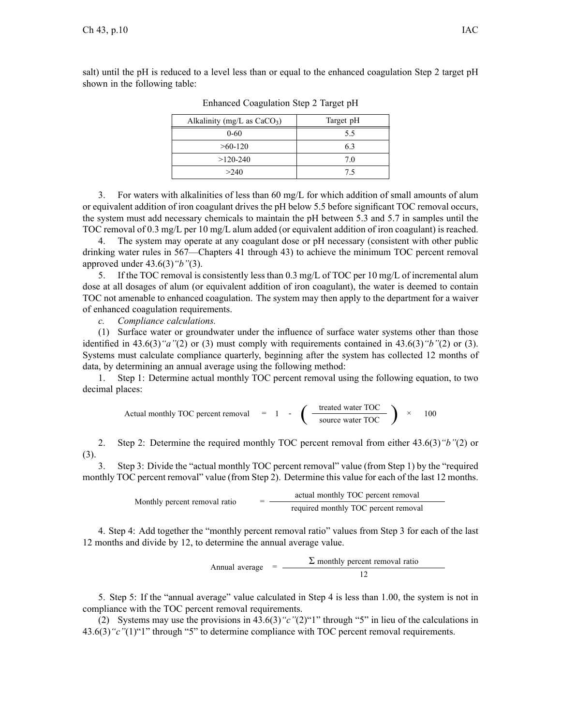salt) until the pH is reduced to <sup>a</sup> level less than or equal to the enhanced coagulation Step 2 target pH shown in the following table:

| Alkalinity (mg/L as $CaCO3$ ) | Target pH |
|-------------------------------|-----------|
| $0 - 60$                      | 55        |
| $>60-120$                     | 63        |
| $>120-240$                    | 70        |
| >240                          | 75        |

Enhanced Coagulation Step 2 Target pH

3. For waters with alkalinities of less than 60 mg/L for which addition of small amounts of alum or equivalent addition of iron coagulant drives the pH below 5.5 before significant TOC removal occurs, the system must add necessary chemicals to maintain the pH between 5.3 and 5.7 in samples until the TOC removal of 0.3 mg/L per 10 mg/L alum added (or equivalent addition of iron coagulant) is reached.

4. The system may operate at any coagulant dose or pH necessary (consistent with other public drinking water rules in 567—Chapters 41 through 43) to achieve the minimum TOC percen<sup>t</sup> removal approved under 43.6(3)*"b"*(3).

5. If the TOC removal is consistently less than 0.3 mg/L of TOC per 10 mg/L of incremental alum dose at all dosages of alum (or equivalent addition of iron coagulant), the water is deemed to contain TOC not amenable to enhanced coagulation. The system may then apply to the department for <sup>a</sup> waiver of enhanced coagulation requirements.

*c. Compliance calculations.*

(1) Surface water or groundwater under the influence of surface water systems other than those identified in 43.6(3)*"a"*(2) or (3) must comply with requirements contained in 43.6(3)*"b"*(2) or (3). Systems must calculate compliance quarterly, beginning after the system has collected 12 months of data, by determining an annual average using the following method:

1. Step 1: Determine actual monthly TOC percen<sup>t</sup> removal using the following equation, to two decimal places:

Actual monthly TOC percent removal = 1 - 
$$
\left(\frac{\text{treated water TOC}}{\text{source water TOC}}\right) \times 100
$$

2. Step 2: Determine the required monthly TOC percen<sup>t</sup> removal from either 43.6(3)*"b"*(2) or (3).

3. Step 3: Divide the "actual monthly TOC percen<sup>t</sup> removal" value (from Step 1) by the "required monthly TOC percen<sup>t</sup> removal" value (from Step 2). Determine this value for each of the last 12 months.

Monthly percent removal ratio

\n
$$
= \frac{\text{actual monthly TOC percent removal}}{\text{required monthly TOC percent removal}}
$$

4. Step 4: Add together the "monthly percen<sup>t</sup> removal ratio" values from Step 3 for each of the last 12 months and divide by 12, to determine the annual average value.

> $\Sigma$  monthly percent removal ratio Annual average  $=$   $-$ 12

5. Step 5: If the "annual average" value calculated in Step 4 is less than 1.00, the system is not in compliance with the TOC percen<sup>t</sup> removal requirements.

(2) Systems may use the provisions in 43.6(3)*"c"*(2)"1" through "5" in lieu of the calculations in 43.6(3) "c"(1)"1" through "5" to determine compliance with TOC percent removal requirements.